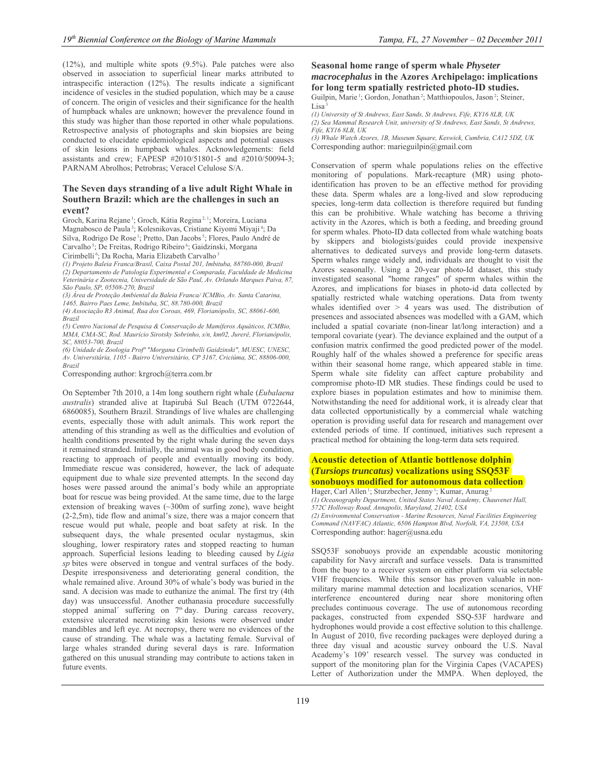(12%), and multiple white spots (9.5%). Pale patches were also observed in association to superficial linear marks attributed to intraspecific interaction (12%). The results indicate a significant incidence of vesicles in the studied population, which may be a cause of concern. The origin of vesicles and their significance for the health of humpback whales are unknown; however the prevalence found in this study was higher than those reported in other whale populations. Retrospective analysis of photographs and skin biopsies are being conducted to elucidate epidemiological aspects and potential causes of skin lesions in humpback whales. Acknowledgements: field assistants and crew; FAPESP #2010/51801-5 and #2010/50094-3; PARNAM Abrolhos; Petrobras; Veracel Celulose S/A.

### **The Seven days stranding of a live adult Right Whale in Southern Brazil: which are the challenges in such an event?**

Groch, Karina Rejane 1; Groch, Kátia Regina 2, 1; Moreira, Luciana Magnabosco de Paula 3; Kolesnikovas, Cristiane Kiyomi Miyaji 4; Da Silva, Rodrigo De Rose<sup>1</sup>; Pretto, Dan Jacobs<sup>5</sup>; Flores, Paulo André de Carvalho<sup>5</sup>; De Freitas, Rodrigo Ribeiro<sup>6</sup>; Gaidzinski, Morgana Cirimbelli<sup>6</sup>; Da Rocha, Maria Elizabeth Carvalho<sup>3</sup>

*(1) Projeto Baleia Franca/Brasil, Caixa Postal 201, Imbituba, 88780-000, Brazil (2) Departamento de Patologia Experimental e Comparada, Faculdade de Medicina Veterinária e Zootecnia, Universidade de São Paul, Av. Orlando Marques Paiva, 87, São Paulo, SP, 05508-270, Brazil* 

*(3) Área de Proteção Ambiental da Baleia Franca/ ICMBio, Av. Santa Catarina, 1465, Bairro Paes Leme, Imbituba, SC, 88.780-000, Brazil* 

*(4) Associação R3 Animal, Rua dos Coroas, 469, Florianópolis, SC, 88061-600, Brazil* 

*(5) Centro Nacional de Pesquisa & Conservação de Mamíferos Aquáticos, ICMBio, MMA, CMA-SC, Rod. Maurício Sirotsky Sobrinho, s/n, km02, Jurerê, Florianópolis, SC, 88053-700, Brazil* 

*(6) Unidade de Zoologia Profª "Morgana Cirimbelli Gaidzinski", MUESC, UNESC, Av. Universitária, 1105 - Bairro Universitário, CP 3167, Criciúma, SC, 88806-000, Brazil* 

Corresponding author: krgroch@terra.com.br

On September 7th 2010, a 14m long southern right whale (*Eubalaena australis*) stranded alive at Itapirubá Sul Beach (UTM 0722644, 6860085), Southern Brazil. Strandings of live whales are challenging events, especially those with adult animals. This work report the attending of this stranding as well as the difficulties and evolution of health conditions presented by the right whale during the seven days it remained stranded. Initially, the animal was in good body condition, reacting to approach of people and eventually moving its body. Immediate rescue was considered, however, the lack of adequate equipment due to whale size prevented attempts. In the second day hoses were passed around the animal's body while an appropriate boat for rescue was being provided. At the same time, due to the large extension of breaking waves (~300m of surfing zone), wave height (2-2,5m), tide flow and animal's size, there was a major concern that rescue would put whale, people and boat safety at risk. In the subsequent days, the whale presented ocular nystagmus, skin sloughing, lower respiratory rates and stopped reacting to human approach. Superficial lesions leading to bleeding caused by *Ligia sp* bites were observed in tongue and ventral surfaces of the body. Despite irresponsiveness and deteriorating general condition, the whale remained alive. Around 30% of whale's body was buried in the sand. A decision was made to euthanize the animal. The first try (4th day) was unsuccessful. Another euthanasia procedure successfully stopped animal' suffering on  $7<sup>th</sup>$  day. During carcass recovery, extensive ulcerated necrotizing skin lesions were observed under mandibles and left eye. At necropsy, there were no evidences of the cause of stranding. The whale was a lactating female. Survival of large whales stranded during several days is rare. Information gathered on this unusual stranding may contribute to actions taken in future events.

# **Seasonal home range of sperm whale** *Physeter macrocephalus* **in the Azores Archipelago: implications for long term spatially restricted photo-ID studies.**

Guilpin, Marie<sup>1</sup>; Gordon, Jonathan<sup>2</sup>; Matthiopoulos, Jason<sup>2</sup>; Steiner,  $Lisa<sup>3</sup>$ 

*(1) University of St Andrews, East Sands, St Andrews, Fife, KY16 8LB, UK (2) Sea Mammal Research Unit, university of St Andrews, East Sands, St Andrews, Fife, KY16 8LB, UK* 

*(3) Whale Watch Azores, 1B, Museum Square, Keswick, Cumbria, CA12 5DZ, UK*  Corresponding author: marieguilpin@gmail.com

Conservation of sperm whale populations relies on the effective monitoring of populations. Mark-recapture (MR) using photoidentification has proven to be an effective method for providing these data. Sperm whales are a long-lived and slow reproducing species, long-term data collection is therefore required but funding this can be prohibitive. Whale watching has become a thriving activity in the Azores, which is both a feeding, and breeding ground for sperm whales. Photo-ID data collected from whale watching boats by skippers and biologists/guides could provide inexpensive alternatives to dedicated surveys and provide long-term datasets. Sperm whales range widely and, individuals are thought to visit the Azores seasonally. Using a 20-year photo-Id dataset, this study investigated seasonal "home ranges" of sperm whales within the Azores, and implications for biases in photo-id data collected by spatially restricted whale watching operations. Data from twenty whales identified over  $> 4$  years was used. The distribution of presences and associated absences was modelled with a GAM, which included a spatial covariate (non-linear lat/long interaction) and a temporal covariate (year). The deviance explained and the output of a confusion matrix confirmed the good predicted power of the model. Roughly half of the whales showed a preference for specific areas within their seasonal home range, which appeared stable in time. Sperm whale site fidelity can affect capture probability and compromise photo-ID MR studies. These findings could be used to explore biases in population estimates and how to minimise them. Notwithstanding the need for additional work, it is already clear that data collected opportunistically by a commercial whale watching operation is providing useful data for research and management over extended periods of time. If continued, initiatives such represent a practical method for obtaining the long-term data sets required.

## **Acoustic detection of Atlantic bottlenose dolphin (***Tursiops truncatus)* **vocalizations using SSQ53F sonobuoys modified for autonomous data collection**

Hager, Carl Allen<sup>1</sup>; Sturzbecher, Jenny<sup>1</sup>; Kumar, Anurag<sup>2</sup> *(1) Oceanography Department, United States Naval Academy, Chauvenet Hall, 572C Holloway Road, Annapolis, Maryland, 21402, USA (2) Environmental Conservation - Marine Resources, Naval Facilities Engineering Command (NAVFAC) Atlantic, 6506 Hampton Blvd, Norfolk, VA, 23508, USA*  Corresponding author: hager@usna.edu

SSQ53F sonobuoys provide an expendable acoustic monitoring capability for Navy aircraft and surface vessels. Data is transmitted from the buoy to a receiver system on either platform via selectable VHF frequencies. While this sensor has proven valuable in nonmilitary marine mammal detection and localization scenarios, VHF interference encountered during near shore monitoring often precludes continuous coverage. The use of autonomous recording packages, constructed from expended SSQ-53F hardware and hydrophones would provide a cost effective solution to this challenge. In August of 2010, five recording packages were deployed during a three day visual and acoustic survey onboard the U.S. Naval Academy's 109' research vessel. The survey was conducted in support of the monitoring plan for the Virginia Capes (VACAPES) Letter of Authorization under the MMPA. When deployed, the